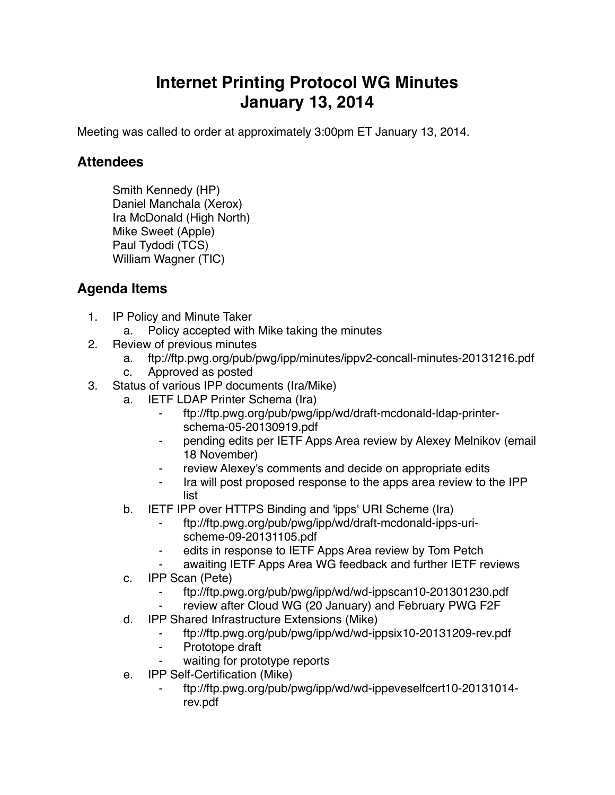## **Internet Printing Protocol WG Minutes January 13, 2014**

Meeting was called to order at approximately 3:00pm ET January 13, 2014.

## **Attendees**

Smith Kennedy (HP) Daniel Manchala (Xerox) Ira McDonald (High North) Mike Sweet (Apple) Paul Tydodi (TCS) William Wagner (TIC)

## **Agenda Items**

- 1. IP Policy and Minute Taker
	- a. Policy accepted with Mike taking the minutes
- 2. Review of previous minutes
	- a. ftp://ftp.pwg.org/pub/pwg/ipp/minutes/ippv2-concall-minutes-20131216.pdf
	- c. Approved as posted
- 3. Status of various IPP documents (Ira/Mike)
	- a. IETF LDAP Printer Schema (Ira)
		- ⁃ ftp://ftp.pwg.org/pub/pwg/ipp/wd/draft-mcdonald-ldap-printerschema-05-20130919.pdf
		- ⁃ pending edits per IETF Apps Area review by Alexey Melnikov (email 18 November)
		- ⁃ review Alexey's comments and decide on appropriate edits
		- ⁃ Ira will post proposed response to the apps area review to the IPP list
	- b. IETF IPP over HTTPS Binding and 'ipps' URI Scheme (Ira)
		- ⁃ ftp://ftp.pwg.org/pub/pwg/ipp/wd/draft-mcdonald-ipps-urischeme-09-20131105.pdf
		- edits in response to IETF Apps Area review by Tom Petch
		- awaiting IETF Apps Area WG feedback and further IETF reviews
	- c. IPP Scan (Pete)
		- ⁃ ftp://ftp.pwg.org/pub/pwg/ipp/wd/wd-ippscan10-201301230.pdf
		- review after Cloud WG (20 January) and February PWG F2F
	- d. IPP Shared Infrastructure Extensions (Mike)
		- ⁃ ftp://ftp.pwg.org/pub/pwg/ipp/wd/wd-ippsix10-20131209-rev.pdf
		- ⁃ Prototope draft
		- waiting for prototype reports
	- e. IPP Self-Certification (Mike)
		- ⁃ ftp://ftp.pwg.org/pub/pwg/ipp/wd/wd-ippeveselfcert10-20131014 rev.pdf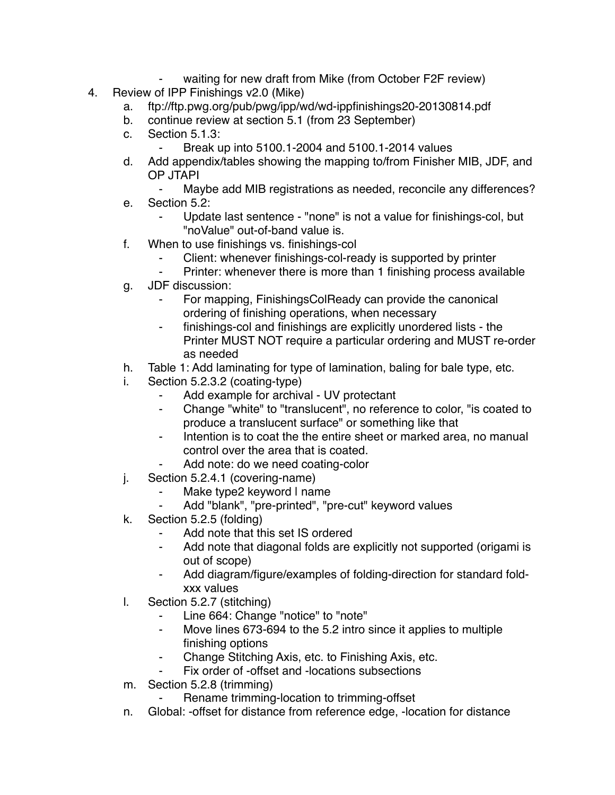- waiting for new draft from Mike (from October F2F review)
- 4. Review of IPP Finishings v2.0 (Mike)
	- a. ftp://ftp.pwg.org/pub/pwg/ipp/wd/wd-ippfinishings20-20130814.pdf
	- b. continue review at section 5.1 (from 23 September)
	- c. Section 5.1.3:
		- Break up into 5100.1-2004 and 5100.1-2014 values
	- d. Add appendix/tables showing the mapping to/from Finisher MIB, JDF, and OP JTAPI
		- Maybe add MIB registrations as needed, reconcile any differences?
	- e. Section 5.2:
		- Update last sentence "none" is not a value for finishings-col, but "noValue" out-of-band value is.
	- f. When to use finishings vs. finishings-col
		- Client: whenever finishings-col-ready is supported by printer
		- Printer: whenever there is more than 1 finishing process available
	- g. JDF discussion:
		- ⁃ For mapping, FinishingsColReady can provide the canonical ordering of finishing operations, when necessary
		- ⁃ finishings-col and finishings are explicitly unordered lists the Printer MUST NOT require a particular ordering and MUST re-order as needed
	- h. Table 1: Add laminating for type of lamination, baling for bale type, etc.
	- i. Section 5.2.3.2 (coating-type)
		- ⁃ Add example for archival UV protectant
		- ⁃ Change "white" to "translucent", no reference to color, "is coated to produce a translucent surface" or something like that
		- ⁃ Intention is to coat the the entire sheet or marked area, no manual control over the area that is coated.
			- Add note: do we need coating-color
	- j. Section 5.2.4.1 (covering-name)
		- Make type2 keyword I name
			- Add "blank", "pre-printed", "pre-cut" keyword values
	- k. Section 5.2.5 (folding)
		- ⁃ Add note that this set IS ordered
		- ⁃ Add note that diagonal folds are explicitly not supported (origami is out of scope)
		- ⁃ Add diagram/figure/examples of folding-direction for standard foldxxx values
	- l. Section 5.2.7 (stitching)
		- ⁃ Line 664: Change "notice" to "note"
		- ⁃ Move lines 673-694 to the 5.2 intro since it applies to multiple finishing options
		- Change Stitching Axis, etc. to Finishing Axis, etc.
		- Fix order of -offset and -locations subsections
	- m. Section 5.2.8 (trimming)
		- Rename trimming-location to trimming-offset
	- n. Global: -offset for distance from reference edge, -location for distance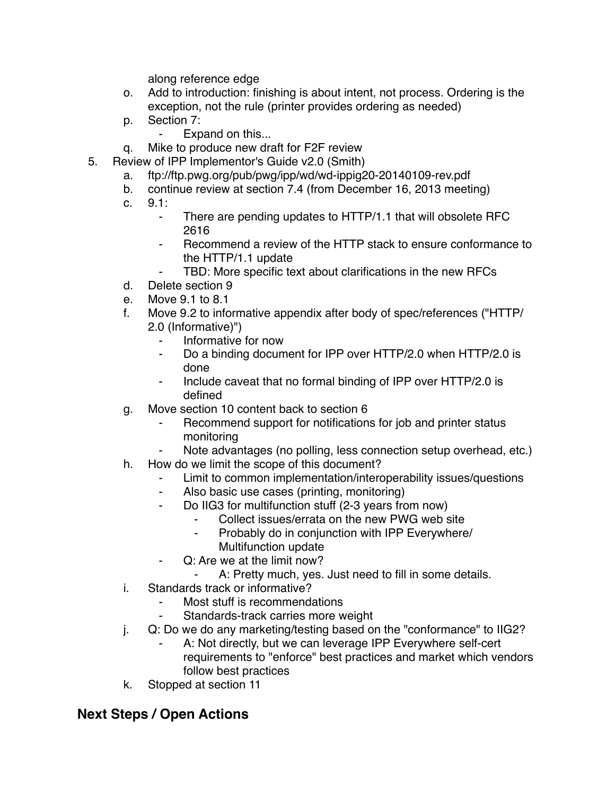along reference edge

- o. Add to introduction: finishing is about intent, not process. Ordering is the exception, not the rule (printer provides ordering as needed)
- p. Section 7:
	- ⁃ Expand on this...
- q. Mike to produce new draft for F2F review
- 5. Review of IPP Implementor's Guide v2.0 (Smith)
	- a. ftp://ftp.pwg.org/pub/pwg/ipp/wd/wd-ippig20-20140109-rev.pdf
	- b. continue review at section 7.4 (from December 16, 2013 meeting)
	- c. 9.1:
		- ⁃ There are pending updates to HTTP/1.1 that will obsolete RFC 2616
		- Recommend a review of the HTTP stack to ensure conformance to the HTTP/1.1 update
		- TBD: More specific text about clarifications in the new RFCs
	- d. Delete section 9
	- e. Move 9.1 to 8.1
	- f. Move 9.2 to informative appendix after body of spec/references ("HTTP/ 2.0 (Informative)")
		- ⁃ Informative for now
		- ⁃ Do a binding document for IPP over HTTP/2.0 when HTTP/2.0 is done
		- Include caveat that no formal binding of IPP over HTTP/2.0 is defined
	- g. Move section 10 content back to section 6
		- Recommend support for notifications for job and printer status monitoring
		- Note advantages (no polling, less connection setup overhead, etc.)
	- h. How do we limit the scope of this document?
		- Limit to common implementation/interoperability issues/questions
		- ⁃ Also basic use cases (printing, monitoring)
		- ⁃ Do IIG3 for multifunction stuff (2-3 years from now)
			- Collect issues/errata on the new PWG web site
			- ⁃ Probably do in conjunction with IPP Everywhere/
				- Multifunction update
		- ⁃ Q: Are we at the limit now?
			- A: Pretty much, yes. Just need to fill in some details.
	- i. Standards track or informative?
		- Most stuff is recommendations
		- Standards-track carries more weight
	- j. Q: Do we do any marketing/testing based on the "conformance" to IIG2?
		- A: Not directly, but we can leverage IPP Everywhere self-cert requirements to "enforce" best practices and market which vendors follow best practices
	- k. Stopped at section 11

## **Next Steps / Open Actions**